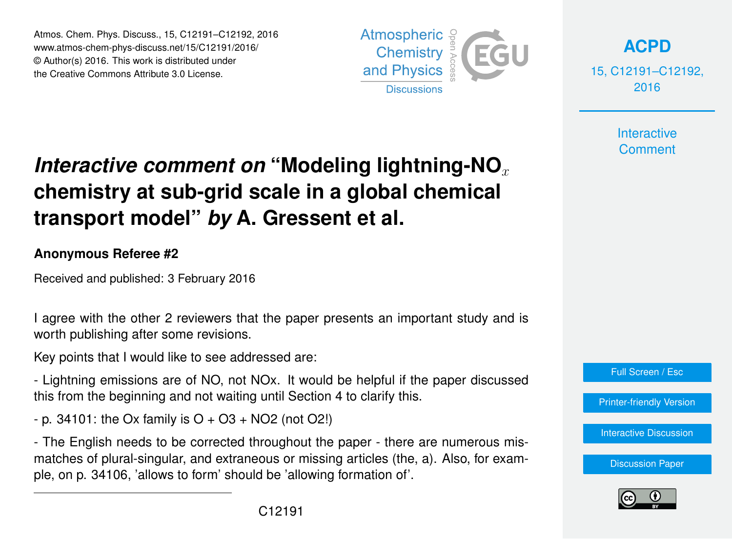Atmos. Chem. Phys. Discuss., 15, C12191–C12192, 2016 www.atmos-chem-phys-discuss.net/15/C12191/2016/ © Author(s) 2016. This work is distributed under the Creative Commons Attribute 3.0 License.



**[ACPD](http://www.atmos-chem-phys-discuss.net)**

15, C12191–C12192, 2016

> **Interactive Comment**

## *Interactive comment on* "Modeling lightning-NO<sub>x</sub> **chemistry at sub-grid scale in a global chemical transport model"** *by* **A. Gressent et al.**

## **Anonymous Referee #2**

Received and published: 3 February 2016

I agree with the other 2 reviewers that the paper presents an important study and is worth publishing after some revisions.

Key points that I would like to see addressed are:

- Lightning emissions are of NO, not NOx. It would be helpful if the paper discussed this from the beginning and not waiting until Section 4 to clarify this.

 $-$  p. 34101: the Ox family is O  $+$  O3  $+$  NO2 (not O2!)

- The English needs to be corrected throughout the paper - there are numerous mismatches of plural-singular, and extraneous or missing articles (the, a). Also, for example, on p. 34106, 'allows to form' should be 'allowing formation of'.



[Printer-friendly Version](http://www.atmos-chem-phys-discuss.net/15/C12191/2016/acpd-15-C12191-2016-print.pdf)

[Interactive Discussion](http://www.atmos-chem-phys-discuss.net/15/34091/2015/acpd-15-34091-2015-discussion.html)

[Discussion Paper](http://www.atmos-chem-phys-discuss.net/15/34091/2015/acpd-15-34091-2015.pdf)